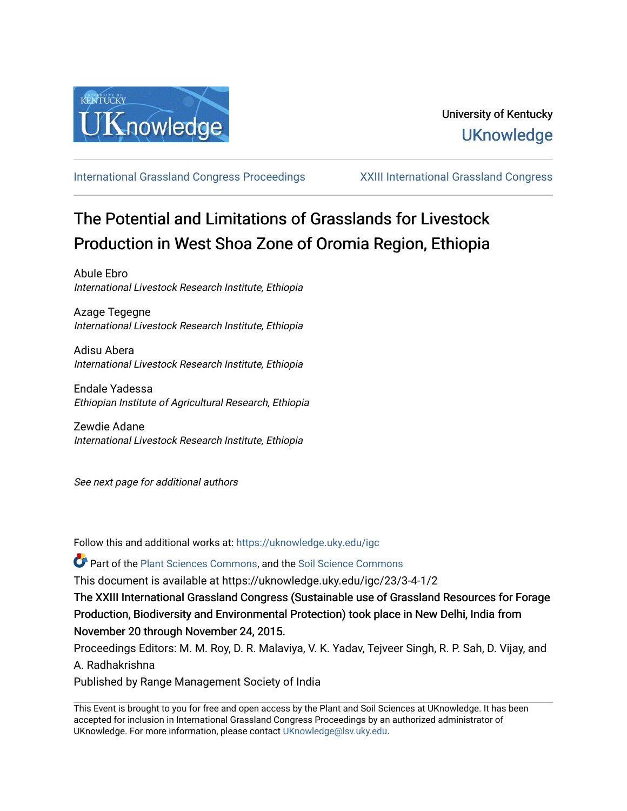

[International Grassland Congress Proceedings](https://uknowledge.uky.edu/igc) [XXIII International Grassland Congress](https://uknowledge.uky.edu/igc/23) 

# The Potential and Limitations of Grasslands for Livestock Production in West Shoa Zone of Oromia Region, Ethiopia

Abule Ebro International Livestock Research Institute, Ethiopia

Azage Tegegne International Livestock Research Institute, Ethiopia

Adisu Abera International Livestock Research Institute, Ethiopia

Endale Yadessa Ethiopian Institute of Agricultural Research, Ethiopia

Zewdie Adane International Livestock Research Institute, Ethiopia

See next page for additional authors

Follow this and additional works at: [https://uknowledge.uky.edu/igc](https://uknowledge.uky.edu/igc?utm_source=uknowledge.uky.edu%2Figc%2F23%2F3-4-1%2F2&utm_medium=PDF&utm_campaign=PDFCoverPages) 

Part of the [Plant Sciences Commons](http://network.bepress.com/hgg/discipline/102?utm_source=uknowledge.uky.edu%2Figc%2F23%2F3-4-1%2F2&utm_medium=PDF&utm_campaign=PDFCoverPages), and the [Soil Science Commons](http://network.bepress.com/hgg/discipline/163?utm_source=uknowledge.uky.edu%2Figc%2F23%2F3-4-1%2F2&utm_medium=PDF&utm_campaign=PDFCoverPages) 

This document is available at https://uknowledge.uky.edu/igc/23/3-4-1/2

The XXIII International Grassland Congress (Sustainable use of Grassland Resources for Forage Production, Biodiversity and Environmental Protection) took place in New Delhi, India from November 20 through November 24, 2015.

Proceedings Editors: M. M. Roy, D. R. Malaviya, V. K. Yadav, Tejveer Singh, R. P. Sah, D. Vijay, and A. Radhakrishna

Published by Range Management Society of India

This Event is brought to you for free and open access by the Plant and Soil Sciences at UKnowledge. It has been accepted for inclusion in International Grassland Congress Proceedings by an authorized administrator of UKnowledge. For more information, please contact [UKnowledge@lsv.uky.edu](mailto:UKnowledge@lsv.uky.edu).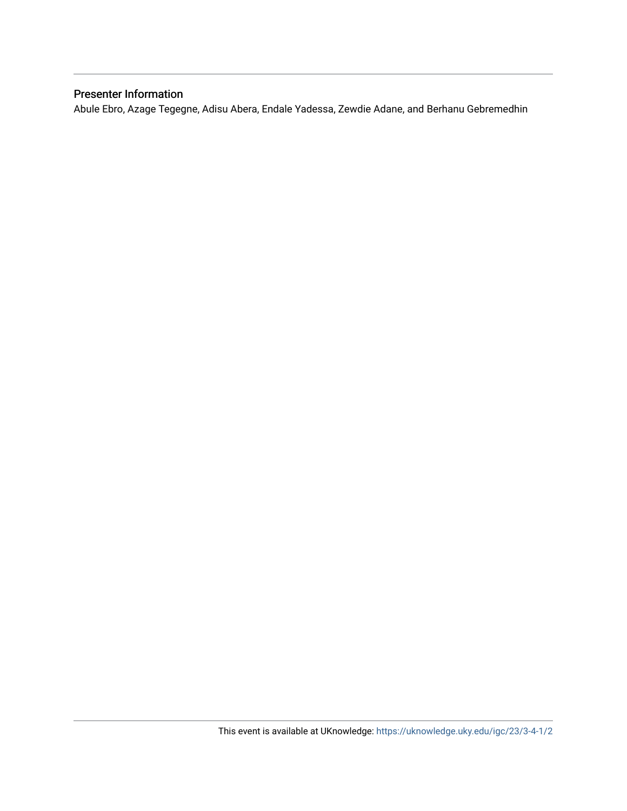## Presenter Information

Abule Ebro, Azage Tegegne, Adisu Abera, Endale Yadessa, Zewdie Adane, and Berhanu Gebremedhin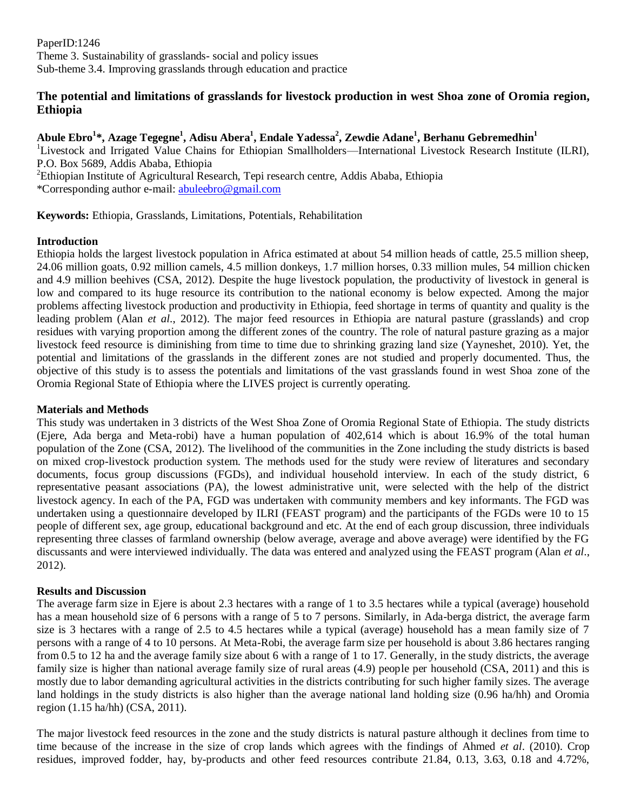PaperID:1246 Theme 3. Sustainability of grasslands- social and policy issues Sub-theme 3.4. Improving grasslands through education and practice

## **The potential and limitations of grasslands for livestock production in west Shoa zone of Oromia region, Ethiopia**

## **Abule Ebro<sup>1</sup> \*, Azage Tegegne<sup>1</sup> , Adisu Abera<sup>1</sup> , Endale Yadessa<sup>2</sup> , Zewdie Adane<sup>1</sup> , Berhanu Gebremedhin<sup>1</sup>**

<sup>1</sup>Livestock and Irrigated Value Chains for Ethiopian Smallholders—International Livestock Research Institute (ILRI), P.O. Box 5689, Addis Ababa, Ethiopia

<sup>2</sup>Ethiopian Institute of Agricultural Research, Tepi research centre, Addis Ababa, Ethiopia \*Corresponding author e-mail: [abuleebro@gmail.com](mailto:abuleebro@gmail.com)

**Keywords:** Ethiopia, Grasslands, Limitations, Potentials, Rehabilitation

#### **Introduction**

Ethiopia holds the largest livestock population in Africa estimated at about 54 million heads of cattle, 25.5 million sheep, 24.06 million goats, 0.92 million camels, 4.5 million donkeys, 1.7 million horses, 0.33 million mules, 54 million chicken and 4.9 million beehives (CSA, 2012). Despite the huge livestock population, the productivity of livestock in general is low and compared to its huge resource its contribution to the national economy is below expected. Among the major problems affecting livestock production and productivity in Ethiopia, feed shortage in terms of quantity and quality is the leading problem (Alan *et al*., 2012). The major feed resources in Ethiopia are natural pasture (grasslands) and crop residues with varying proportion among the different zones of the country. The role of natural pasture grazing as a major livestock feed resource is diminishing from time to time due to shrinking grazing land size (Yayneshet, 2010). Yet, the potential and limitations of the grasslands in the different zones are not studied and properly documented. Thus, the objective of this study is to assess the potentials and limitations of the vast grasslands found in west Shoa zone of the Oromia Regional State of Ethiopia where the LIVES project is currently operating.

#### **Materials and Methods**

This study was undertaken in 3 districts of the West Shoa Zone of Oromia Regional State of Ethiopia. The study districts (Ejere, Ada berga and Meta-robi) have a human population of 402,614 which is about 16.9% of the total human population of the Zone (CSA, 2012). The livelihood of the communities in the Zone including the study districts is based on mixed crop-livestock production system. The methods used for the study were review of literatures and secondary documents, focus group discussions (FGDs), and individual household interview. In each of the study district, 6 representative peasant associations (PA), the lowest administrative unit, were selected with the help of the district livestock agency. In each of the PA, FGD was undertaken with community members and key informants. The FGD was undertaken using a questionnaire developed by ILRI (FEAST program) and the participants of the FGDs were 10 to 15 people of different sex, age group, educational background and etc. At the end of each group discussion, three individuals representing three classes of farmland ownership (below average, average and above average) were identified by the FG discussants and were interviewed individually. The data was entered and analyzed using the FEAST program (Alan *et al*., 2012).

#### **Results and Discussion**

The average farm size in Ejere is about 2.3 hectares with a range of 1 to 3.5 hectares while a typical (average) household has a mean household size of 6 persons with a range of 5 to 7 persons. Similarly, in Ada-berga district, the average farm size is 3 hectares with a range of 2.5 to 4.5 hectares while a typical (average) household has a mean family size of 7 persons with a range of 4 to 10 persons. At Meta-Robi, the average farm size per household is about 3.86 hectares ranging from 0.5 to 12 ha and the average family size about 6 with a range of 1 to 17. Generally, in the study districts, the average family size is higher than national average family size of rural areas (4.9) people per household (CSA, 2011) and this is mostly due to labor demanding agricultural activities in the districts contributing for such higher family sizes. The average land holdings in the study districts is also higher than the average national land holding size (0.96 ha/hh) and Oromia region (1.15 ha/hh) (CSA, 2011).

The major livestock feed resources in the zone and the study districts is natural pasture although it declines from time to time because of the increase in the size of crop lands which agrees with the findings of Ahmed *et al*. (2010). Crop residues, improved fodder, hay, by-products and other feed resources contribute 21.84, 0.13, 3.63, 0.18 and 4.72%,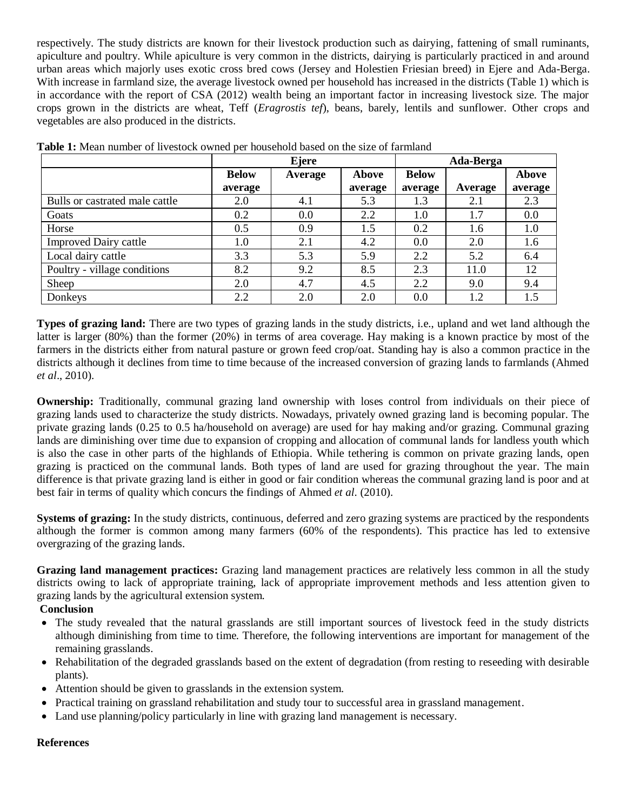respectively. The study districts are known for their livestock production such as dairying, fattening of small ruminants, apiculture and poultry. While apiculture is very common in the districts, dairying is particularly practiced in and around urban areas which majorly uses exotic cross bred cows (Jersey and Holestien Friesian breed) in Ejere and Ada-Berga. With increase in farmland size, the average livestock owned per household has increased in the districts (Table 1) which is in accordance with the report of CSA (2012) wealth being an important factor in increasing livestock size. The major crops grown in the districts are wheat, Teff (*Eragrostis tef*), beans, barely, lentils and sunflower. Other crops and vegetables are also produced in the districts.

|                                |              | Ejere   | Ada-Berga    |              |         |              |
|--------------------------------|--------------|---------|--------------|--------------|---------|--------------|
|                                | <b>Below</b> | Average | <b>Above</b> | <b>Below</b> |         | <b>Above</b> |
|                                | average      |         | average      | average      | Average | average      |
| Bulls or castrated male cattle | 2.0          | 4.1     | 5.3          | 1.3          | 2.1     | 2.3          |
| Goats                          | 0.2          | 0.0     | 2.2          | 1.0          | 1.7     | 0.0          |
| Horse                          | 0.5          | 0.9     | 1.5          | 0.2          | 1.6     | $1.0\,$      |
| <b>Improved Dairy cattle</b>   | 1.0          | 2.1     | 4.2          | 0.0          | 2.0     | 1.6          |
| Local dairy cattle             | 3.3          | 5.3     | 5.9          | 2.2          | 5.2     | 6.4          |
| Poultry - village conditions   | 8.2          | 9.2     | 8.5          | 2.3          | 11.0    | 12           |
| Sheep                          | 2.0          | 4.7     | 4.5          | 2.2          | 9.0     | 9.4          |
| Donkeys                        | 2.2          | 2.0     | 2.0          | 0.0          | 1.2     | 1.5          |

| <b>Table 1:</b> Mean number of livestock owned per household based on the size of farmland |  |  |  |  |  |  |  |  |  |  |  |  |
|--------------------------------------------------------------------------------------------|--|--|--|--|--|--|--|--|--|--|--|--|
|--------------------------------------------------------------------------------------------|--|--|--|--|--|--|--|--|--|--|--|--|

**Types of grazing land:** There are two types of grazing lands in the study districts, i.e., upland and wet land although the latter is larger (80%) than the former (20%) in terms of area coverage. Hay making is a known practice by most of the farmers in the districts either from natural pasture or grown feed crop/oat. Standing hay is also a common practice in the districts although it declines from time to time because of the increased conversion of grazing lands to farmlands (Ahmed *et al*., 2010).

**Ownership:** Traditionally, communal grazing land ownership with loses control from individuals on their piece of grazing lands used to characterize the study districts. Nowadays, privately owned grazing land is becoming popular. The private grazing lands (0.25 to 0.5 ha/household on average) are used for hay making and/or grazing. Communal grazing lands are diminishing over time due to expansion of cropping and allocation of communal lands for landless youth which is also the case in other parts of the highlands of Ethiopia. While tethering is common on private grazing lands, open grazing is practiced on the communal lands. Both types of land are used for grazing throughout the year. The main difference is that private grazing land is either in good or fair condition whereas the communal grazing land is poor and at best fair in terms of quality which concurs the findings of Ahmed *et al*. (2010).

**Systems of grazing:** In the study districts, continuous, deferred and zero grazing systems are practiced by the respondents although the former is common among many farmers (60% of the respondents). This practice has led to extensive overgrazing of the grazing lands.

**Grazing land management practices:** Grazing land management practices are relatively less common in all the study districts owing to lack of appropriate training, lack of appropriate improvement methods and less attention given to grazing lands by the agricultural extension system.

## **Conclusion**

- The study revealed that the natural grasslands are still important sources of livestock feed in the study districts although diminishing from time to time. Therefore, the following interventions are important for management of the remaining grasslands.
- Rehabilitation of the degraded grasslands based on the extent of degradation (from resting to reseeding with desirable plants).
- Attention should be given to grasslands in the extension system.
- Practical training on grassland rehabilitation and study tour to successful area in grassland management.
- Land use planning/policy particularly in line with grazing land management is necessary.

## **References**